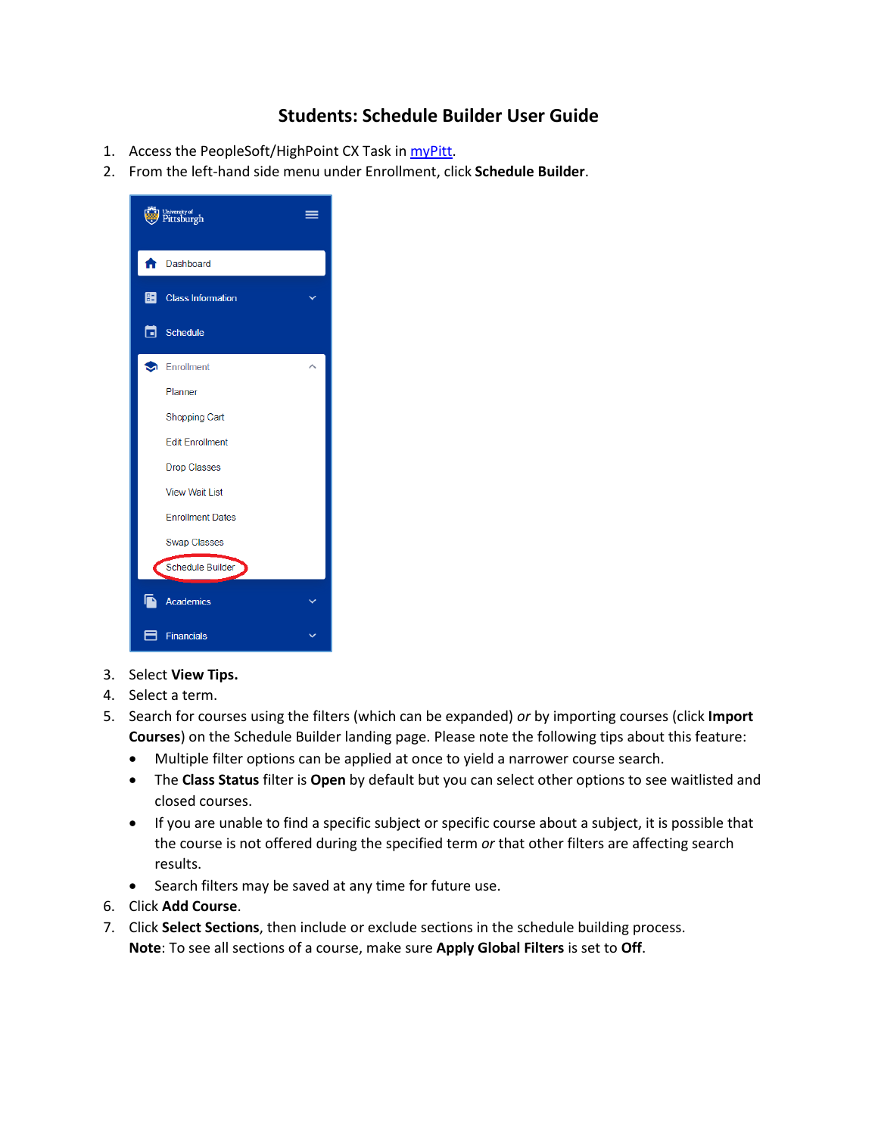## **Students: Schedule Builder User Guide**

- 1. Access the PeopleSoft/HighPoint CX Task in [myPitt.](http://my.pitt.edu/)
- 2. From the left-hand side menu under Enrollment, click **Schedule Builder**.



- 3. Select **View Tips.**
- 4. Select a term.
- 5. Search for courses using the filters (which can be expanded) *or* by importing courses (click **Import Courses**) on the Schedule Builder landing page. Please note the following tips about this feature:
	- Multiple filter options can be applied at once to yield a narrower course search.
	- The **Class Status** filter is **Open** by default but you can select other options to see waitlisted and closed courses.
	- If you are unable to find a specific subject or specific course about a subject, it is possible that the course is not offered during the specified term *or* that other filters are affecting search results.
	- Search filters may be saved at any time for future use.
- 6. Click **Add Course**.
- 7. Click **Select Sections**, then include or exclude sections in the schedule building process. **Note**: To see all sections of a course, make sure **Apply Global Filters** is set to **Off**.